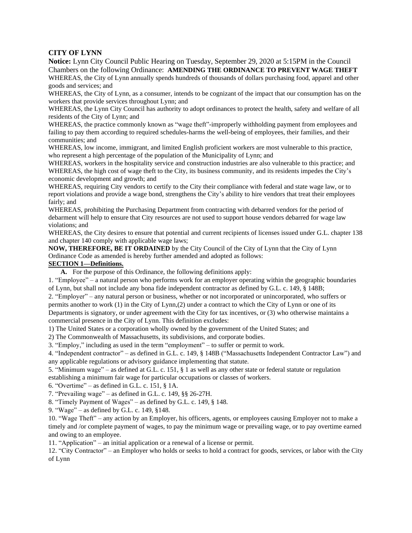# **CITY OF LYNN**

**Notice:** Lynn City Council Public Hearing on Tuesday, September 29, 2020 at 5:15PM in the Council Chambers on the following Ordinance: **AMENDING THE ORDINANCE TO PREVENT WAGE THEFT**

WHEREAS, the City of Lynn annually spends hundreds of thousands of dollars purchasing food, apparel and other goods and services; and

WHEREAS, the City of Lynn, as a consumer, intends to be cognizant of the impact that our consumption has on the workers that provide services throughout Lynn; and

WHEREAS, the Lynn City Council has authority to adopt ordinances to protect the health, safety and welfare of all residents of the City of Lynn; and

WHEREAS, the practice commonly known as "wage theft"-improperly withholding payment from employees and failing to pay them according to required schedules-harms the well-being of employees, their families, and their communities; and

WHEREAS, low income, immigrant, and limited English proficient workers are most vulnerable to this practice, who represent a high percentage of the population of the Municipality of Lynn; and

WHEREAS, workers in the hospitality service and construction industries are also vulnerable to this practice; and WHEREAS, the high cost of wage theft to the City, its business community, and its residents impedes the City's economic development and growth; and

WHEREAS, requiring City vendors to certify to the City their compliance with federal and state wage law, or to report violations and provide a wage bond, strengthens the City's ability to hire vendors that treat their employees fairly; and

WHEREAS, prohibiting the Purchasing Department from contracting with debarred vendors for the period of debarment will help to ensure that City resources are not used to support house vendors debarred for wage law violations; and

WHEREAS, the City desires to ensure that potential and current recipients of licenses issued under G.L. chapter 138 and chapter 140 comply with applicable wage laws;

**NOW, THEREFORE, BE IT ORDAINED** by the City Council of the City of Lynn that the City of Lynn Ordinance Code as amended is hereby further amended and adopted as follows:

# **SECTION 1—Definitions.**

**A.** For the purpose of this Ordinance, the following definitions apply:

1. "Employee" – a natural person who performs work for an employer operating within the geographic boundaries of Lynn, but shall not include any bona fide independent contractor as defined by G.L. c. 149, § 148B;

2. "Employer" – any natural person or business, whether or not incorporated or unincorporated, who suffers or permits another to work (1) in the City of Lynn,(2) under a contract to which the City of Lynn or one of its Departments is signatory, or under agreement with the City for tax incentives, or (3) who otherwise maintains a commercial presence in the City of Lynn. This definition excludes:

1) The United States or a corporation wholly owned by the government of the United States; and

2) The Commonwealth of Massachusetts, its subdivisions, and corporate bodies.

3. "Employ," including as used in the term "employment" – to suffer or permit to work.

4. "Independent contractor" – as defined in G.L. c. 149, § 148B ("Massachusetts Independent Contractor Law") and any applicable regulations or advisory guidance implementing that statute.

5. "Minimum wage" – as defined at G.L. c. 151, § 1 as well as any other state or federal statute or regulation establishing a minimum fair wage for particular occupations or classes of workers.

6. "Overtime" – as defined in G.L. c. 151,  $\S$  1A.

7. "Prevailing wage" – as defined in G.L. c. 149, §§ 26-27H.

8. "Timely Payment of Wages" – as defined by G.L. c. 149, § 148.

9. "Wage" – as defined by G.L. c. 149, §148.

10. "Wage Theft" – any action by an Employer, his officers, agents, or employees causing Employer not to make a timely and /or complete payment of wages, to pay the minimum wage or prevailing wage, or to pay overtime earned and owing to an employee.

11. "Application" – an initial application or a renewal of a license or permit.

12. "City Contractor" – an Employer who holds or seeks to hold a contract for goods, services, or labor with the City of Lynn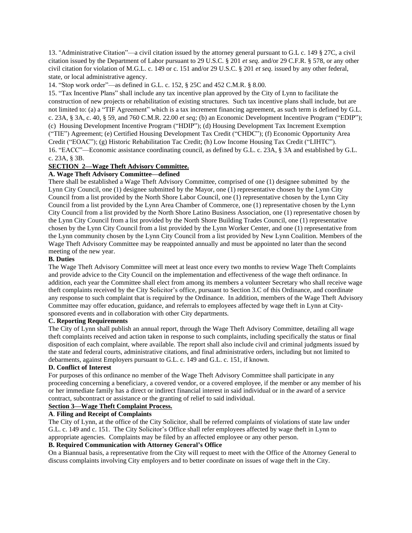13. "Administrative Citation"—a civil citation issued by the attorney general pursuant to G.L c. 149 § 27C, a civil citation issued by the Department of Labor pursuant to 29 U.S.C. § 201 *et seq.* and/or 29 C.F.R. § 578, or any other civil citation for violation of M.G.L. c. 149 or c. 151 and/or 29 U.S.C. § 201 *et seq.* issued by any other federal, state, or local administrative agency.

14. "Stop work order"—as defined in G.L. c. 152, § 25C and 452 C.M.R. § 8.00.

15. "Tax Incentive Plans" shall include any tax incentive plan approved by the City of Lynn to facilitate the construction of new projects or rehabilitation of existing structures. Such tax incentive plans shall include, but are not limited to: (a) a "TIF Agreement" which is a tax increment financing agreement, as such term is defined by G.L. c. 23A, § 3A, c. 40, § 59, and 760 C.M.R. 22.00 *et seq;* (b) an Economic Development Incentive Program ("EDIP"); (c) Housing Development Incentive Program ("HDIP"); (d) Housing Development Tax Increment Exemption ("TIE") Agreement; (e) Certified Housing Development Tax Credit ("CHDC"); (f) Economic Opportunity Area Credit ("EOAC"); (g) Historic Rehabilitation Tac Credit; (h) Low Income Housing Tax Credit ("LIHTC"). 16. "EACC"—Economic assistance coordinating council, as defined by G.L. c. 23A, § 3A and established by G.L. c. 23A, § 3B.

# **SECTION 2—Wage Theft Advisory Committee.**

# **A. Wage Theft Advisory Committee—defined**

There shall be established a Wage Theft Advisory Committee, comprised of one (1) designee submitted by the Lynn City Council, one (1) designee submitted by the Mayor, one (1) representative chosen by the Lynn City Council from a list provided by the North Shore Labor Council, one (1) representative chosen by the Lynn City Council from a list provided by the Lynn Area Chamber of Commerce, one (1) representative chosen by the Lynn City Council from a list provided by the North Shore Latino Business Association, one (1) representative chosen by the Lynn City Council from a list provided by the North Shore Building Trades Council, one (1) representative chosen by the Lynn City Council from a list provided by the Lynn Worker Center, and one (1) representative from the Lynn community chosen by the Lynn City Council from a list provided by New Lynn Coalition. Members of the Wage Theft Advisory Committee may be reappointed annually and must be appointed no later than the second meeting of the new year.

#### **B. Duties**

The Wage Theft Advisory Committee will meet at least once every two months to review Wage Theft Complaints and provide advice to the City Council on the implementation and effectiveness of the wage theft ordinance. In addition, each year the Committee shall elect from among its members a volunteer Secretary who shall receive wage theft complaints received by the City Solicitor's office, pursuant to Section 3.C of this Ordinance, and coordinate any response to such complaint that is required by the Ordinance. In addition, members of the Wage Theft Advisory Committee may offer education, guidance, and referrals to employees affected by wage theft in Lynn at Citysponsored events and in collaboration with other City departments.

### **C. Reporting Requirements**

The City of Lynn shall publish an annual report, through the Wage Theft Advisory Committee, detailing all wage theft complaints received and action taken in response to such complaints, including specifically the status or final disposition of each complaint, where available. The report shall also include civil and criminal judgments issued by the state and federal courts, administrative citations, and final administrative orders, including but not limited to debarments, against Employers pursuant to G.L. c. 149 and G.L. c. 151, if known.

#### **D. Conflict of Interest**

For purposes of this ordinance no member of the Wage Theft Advisory Committee shall participate in any proceeding concerning a beneficiary, a covered vendor, or a covered employee, if the member or any member of his or her immediate family has a direct or indirect financial interest in said individual or in the award of a service contract, subcontract or assistance or the granting of relief to said individual.

### **Section 3—Wage Theft Complaint Process.**

## **A**. **Filing and Receipt of Complaints**

The City of Lynn, at the office of the City Solicitor, shall be referred complaints of violations of state law under G.L. c. 149 and c. 151. The City Solicitor's Office shall refer employees affected by wage theft in Lynn to appropriate agencies. Complaints may be filed by an affected employee or any other person.

# **B. Required Communication with Attorney General's Office**

On a Biannual basis, a representative from the City will request to meet with the Office of the Attorney General to discuss complaints involving City employers and to better coordinate on issues of wage theft in the City.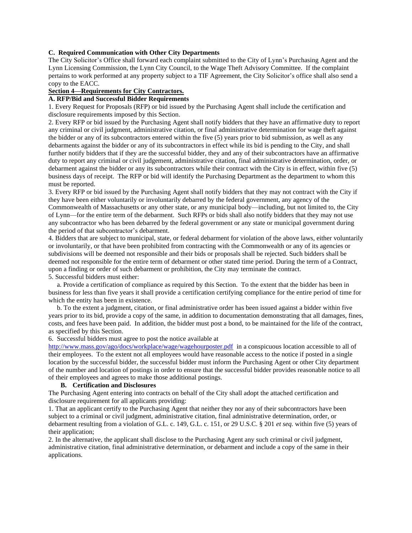#### **C. Required Communication with Other City Departments**

The City Solicitor's Office shall forward each complaint submitted to the City of Lynn's Purchasing Agent and the Lynn Licensing Commission, the Lynn City Council, to the Wage Theft Advisory Committee. If the complaint pertains to work performed at any property subject to a TIF Agreement, the City Solicitor's office shall also send a copy to the EACC.

# **Section 4—Requirements for City Contractors.**

# **A. RFP/Bid and Successful Bidder Requirements**

1. Every Request for Proposals (RFP) or bid issued by the Purchasing Agent shall include the certification and disclosure requirements imposed by this Section.

2. Every RFP or bid issued by the Purchasing Agent shall notify bidders that they have an affirmative duty to report any criminal or civil judgment, administrative citation, or final administrative determination for wage theft against the bidder or any of its subcontractors entered within the five (5) years prior to bid submission, as well as any debarments against the bidder or any of its subcontractors in effect while its bid is pending to the City, and shall further notify bidders that if they are the successful bidder, they and any of their subcontractors have an affirmative duty to report any criminal or civil judgement, administrative citation, final administrative determination, order, or debarment against the bidder or any its subcontractors while their contract with the City is in effect, within five (5) business days of receipt. The RFP or bid will identify the Purchasing Department as the department to whom this must be reported.

3. Every RFP or bid issued by the Purchasing Agent shall notify bidders that they may not contract with the City if they have been either voluntarily or involuntarily debarred by the federal government, any agency of the Commonwealth of Massachusetts or any other state, or any municipal body—including, but not limited to, the City of Lynn—for the entire term of the debarment. Such RFPs or bids shall also notify bidders that they may not use any subcontractor who has been debarred by the federal government or any state or municipal government during the period of that subcontractor's debarment.

4. Bidders that are subject to municipal, state, or federal debarment for violation of the above laws, either voluntarily or involuntarily, or that have been prohibited from contracting with the Commonwealth or any of its agencies or subdivisions will be deemed not responsible and their bids or proposals shall be rejected. Such bidders shall be deemed not responsible for the entire term of debarment or other stated time period. During the term of a Contract, upon a finding or order of such debarment or prohibition, the City may terminate the contract. 5. Successful bidders must either:

 a. Provide a certification of compliance as required by this Section. To the extent that the bidder has been in business for less than five years it shall provide a certification certifying compliance for the entire period of time for which the entity has been in existence.

 b. To the extent a judgment, citation, or final administrative order has been issued against a bidder within five years prior to its bid, provide a copy of the same, in addition to documentation demonstrating that all damages, fines, costs, and fees have been paid. In addition, the bidder must post a bond, to be maintained for the life of the contract, as specified by this Section.

# 6. Successful bidders must agree to post the notice available at

http://www.mass.gov/ago/docs/workplace/wage/wagehourposter.pdf in a conspicuous location accessible to all of their employees. To the extent not all employees would have reasonable access to the notice if posted in a single location by the successful bidder, the successful bidder must inform the Purchasing Agent or other City department of the number and location of postings in order to ensure that the successful bidder provides reasonable notice to all of their employees and agrees to make those additional postings.

#### **B. Certification and Disclosures**

The Purchasing Agent entering into contracts on behalf of the City shall adopt the attached certification and disclosure requirement for all applicants providing:

1. That an applicant certify to the Purchasing Agent that neither they nor any of their subcontractors have been subject to a criminal or civil judgment, administrative citation, final administrative determination, order, or debarment resulting from a violation of G.L. c. 149, G.L. c. 151, or 29 U.S.C. § 201 *et seq.* within five (5) years of their application:

2. In the alternative, the applicant shall disclose to the Purchasing Agent any such criminal or civil judgment, administrative citation, final administrative determination, or debarment and include a copy of the same in their applications.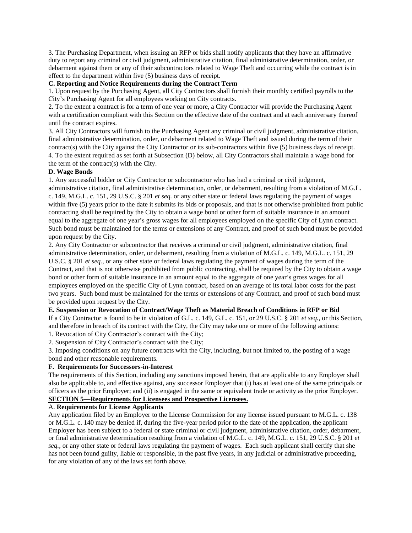3. The Purchasing Department, when issuing an RFP or bids shall notify applicants that they have an affirmative duty to report any criminal or civil judgment, administrative citation, final administrative determination, order, or debarment against them or any of their subcontractors related to Wage Theft and occurring while the contract is in effect to the department within five (5) business days of receipt.

### **C. Reporting and Notice Requirements during the Contract Term**

1. Upon request by the Purchasing Agent, all City Contractors shall furnish their monthly certified payrolls to the City's Purchasing Agent for all employees working on City contracts.

2. To the extent a contract is for a term of one year or more, a City Contractor will provide the Purchasing Agent with a certification compliant with this Section on the effective date of the contract and at each anniversary thereof until the contract expires.

3. All City Contractors will furnish to the Purchasing Agent any criminal or civil judgment, administrative citation, final administrative determination, order, or debarment related to Wage Theft and issued during the term of their contract(s) with the City against the City Contractor or its sub-contractors within five (5) business days of receipt. 4. To the extent required as set forth at Subsection (D) below, all City Contractors shall maintain a wage bond for the term of the contract(s) with the City.

#### **D. Wage Bonds**

1. Any successful bidder or City Contractor or subcontractor who has had a criminal or civil judgment, administrative citation, final administrative determination, order, or debarment, resulting from a violation of M.G.L. c. 149, M.G.L. c. 151, 29 U.S.C. § 201 *et seq.* or any other state or federal laws regulating the payment of wages within five (5) years prior to the date it submits its bids or proposals, and that is not otherwise prohibited from public contracting shall be required by the City to obtain a wage bond or other form of suitable insurance in an amount equal to the aggregate of one year's gross wages for all employees employed on the specific City of Lynn contract. Such bond must be maintained for the terms or extensions of any Contract, and proof of such bond must be provided upon request by the City.

2. Any City Contractor or subcontractor that receives a criminal or civil judgment, administrative citation, final administrative determination, order, or debarment, resulting from a violation of M.G.L. c. 149, M.G.L. c. 151, 29 U.S.C. § 201 *et seq.,* or any other state or federal laws regulating the payment of wages during the term of the Contract, and that is not otherwise prohibited from public contracting, shall be required by the City to obtain a wage bond or other form of suitable insurance in an amount equal to the aggregate of one year's gross wages for all employees employed on the specific City of Lynn contract, based on an average of its total labor costs for the past two years. Such bond must be maintained for the terms or extensions of any Contract, and proof of such bond must be provided upon request by the City.

#### **E. Suspension or Revocation of Contract/Wage Theft as Material Breach of Conditions in RFP or Bid**

If a City Contractor is found to be in violation of G.L. c. 149, G.L. c. 151, or 29 U.S.C. § 201 *et seq.*, or this Section, and therefore in breach of its contract with the City, the City may take one or more of the following actions:

1. Revocation of City Contractor's contract with the City;

2. Suspension of City Contractor's contract with the City;

3. Imposing conditions on any future contracts with the City, including, but not limited to, the posting of a wage bond and other reasonable requirements.

## **F. Requirements for Successors-in-Interest**

The requirements of this Section, including any sanctions imposed herein, that are applicable to any Employer shall also be applicable to, and effective against, any successor Employer that (i) has at least one of the same principals or officers as the prior Employer; and (ii) is engaged in the same or equivalent trade or activity as the prior Employer. **SECTION 5—Requirements for Licensees and Prospective Licensees.**

#### A. **Requirements for License Applicants**

Any application filed by an Employer to the License Commission for any license issued pursuant to M.G.L. c. 138 or M.G.L. c. 140 may be denied if, during the five-year period prior to the date of the application, the applicant Employer has been subject to a federal or state criminal or civil judgment, administrative citation, order, debarment, or final administrative determination resulting from a violation of M.G.L. c. 149, M.G.L. c. 151, 29 U.S.C. § 201 *et seq.*, or any other state or federal laws regulating the payment of wages. Each such applicant shall certify that she has not been found guilty, liable or responsible, in the past five years, in any judicial or administrative proceeding, for any violation of any of the laws set forth above.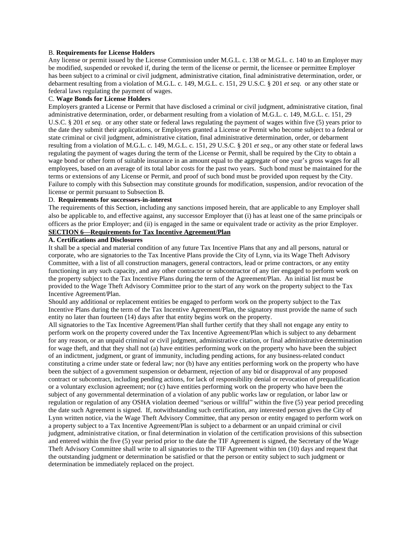#### B. **Requirements for License Holders**

Any license or permit issued by the License Commission under M.G.L. c. 138 or M.G.L. c. 140 to an Employer may be modified, suspended or revoked if, during the term of the license or permit, the licensee or permittee Employer has been subject to a criminal or civil judgment, administrative citation, final administrative determination, order, or debarment resulting from a violation of M.G.L. c. 149, M.G.L. c. 151, 29 U.S.C. § 201 *et seq.* or any other state or federal laws regulating the payment of wages.

#### C. **Wage Bonds for License Holders**

Employers granted a License or Permit that have disclosed a criminal or civil judgment, administrative citation, final administrative determination, order, or debarment resulting from a violation of M.G.L. c. 149, M.G.L. c. 151, 29 U.S.C. § 201 *et seq.* or any other state or federal laws regulating the payment of wages within five (5) years prior to the date they submit their applications, or Employers granted a License or Permit who become subject to a federal or state criminal or civil judgment, administrative citation, final administrative determination, order, or debarment resulting from a violation of M.G.L. c. 149, M.G.L. c. 151, 29 U.S.C. § 201 *et seq.*, or any other state or federal laws regulating the payment of wages during the term of the License or Permit, shall be required by the City to obtain a wage bond or other form of suitable insurance in an amount equal to the aggregate of one year's gross wages for all employees, based on an average of its total labor costs for the past two years. Such bond must be maintained for the terms or extensions of any License or Permit, and proof of such bond must be provided upon request by the City. Failure to comply with this Subsection may constitute grounds for modification, suspension, and/or revocation of the license or permit pursuant to Subsection B.

# D. **Requirements for successors-in-interest**

The requirements of this Section, including any sanctions imposed herein, that are applicable to any Employer shall also be applicable to, and effective against, any successor Employer that (i) has at least one of the same principals or officers as the prior Employer; and (ii) is engaged in the same or equivalent trade or activity as the prior Employer.

# **SECTION 6—Requirements for Tax Incentive Agreement/Plan**

## **A. Certifications and Disclosures**

It shall be a special and material condition of any future Tax Incentive Plans that any and all persons, natural or corporate, who are signatories to the Tax Incentive Plans provide the City of Lynn, via its Wage Theft Advisory Committee, with a list of all construction managers, general contractors, lead or prime contractors, or any entity functioning in any such capacity, and any other contractor or subcontractor of any tier engaged to perform work on the property subject to the Tax Incentive Plans during the term of the Agreement/Plan. An initial list must be provided to the Wage Theft Advisory Committee prior to the start of any work on the property subject to the Tax Incentive Agreement/Plan.

Should any additional or replacement entities be engaged to perform work on the property subject to the Tax Incentive Plans during the term of the Tax Incentive Agreement/Plan, the signatory must provide the name of such entity no later than fourteen (14) days after that entity begins work on the property.

All signatories to the Tax Incentive Agreement/Plan shall further certify that they shall not engage any entity to perform work on the property covered under the Tax Incentive Agreement/Plan which is subject to any debarment for any reason, or an unpaid criminal or civil judgment, administrative citation, or final administrative determination for wage theft, and that they shall not (a) have entities performing work on the property who have been the subject of an indictment, judgment, or grant of immunity, including pending actions, for any business-related conduct constituting a crime under state or federal law; nor (b) have any entities performing work on the property who have been the subject of a government suspension or debarment, rejection of any bid or disapproval of any proposed contract or subcontract, including pending actions, for lack of responsibility denial or revocation of prequalification or a voluntary exclusion agreement; nor (c) have entities performing work on the property who have been the subject of any governmental determination of a violation of any public works law or regulation, or labor law or regulation or regulation of any OSHA violation deemed "serious or willful" within the five (5) year period preceding the date such Agreement is signed. If, notwithstanding such certification, any interested person gives the City of Lynn written notice, via the Wage Theft Advisory Committee, that any person or entity engaged to perform work on a property subject to a Tax Incentive Agreement/Plan is subject to a debarment or an unpaid criminal or civil judgment, administrative citation, or final determination in violation of the certification provisions of this subsection and entered within the five (5) year period prior to the date the TIF Agreement is signed, the Secretary of the Wage Theft Advisory Committee shall write to all signatories to the TIF Agreement within ten (10) days and request that the outstanding judgment or determination be satisfied or that the person or entity subject to such judgment or determination be immediately replaced on the project.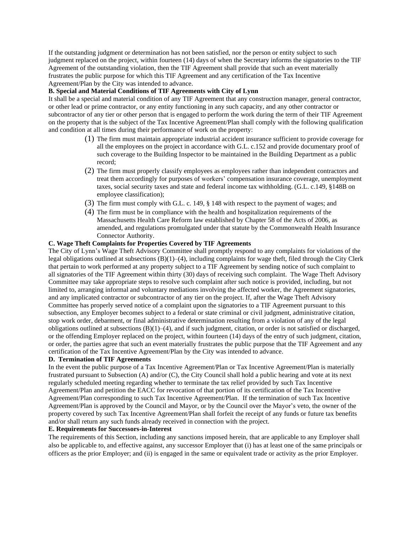If the outstanding judgment or determination has not been satisfied, nor the person or entity subject to such judgment replaced on the project, within fourteen (14) days of when the Secretary informs the signatories to the TIF Agreement of the outstanding violation, then the TIF Agreement shall provide that such an event materially frustrates the public purpose for which this TIF Agreement and any certification of the Tax Incentive Agreement/Plan by the City was intended to advance.

### **B. Special and Material Conditions of TIF Agreements with City of Lynn**

It shall be a special and material condition of any TIF Agreement that any construction manager, general contractor, or other lead or prime contractor, or any entity functioning in any such capacity, and any other contractor or subcontractor of any tier or other person that is engaged to perform the work during the term of their TIF Agreement on the property that is the subject of the Tax Incentive Agreement/Plan shall comply with the following qualification and condition at all times during their performance of work on the property:

- (1) The firm must maintain appropriate industrial accident insurance sufficient to provide coverage for all the employees on the project in accordance with G.L. c.152 and provide documentary proof of such coverage to the Building Inspector to be maintained in the Building Department as a public record;
- (2) The firm must properly classify employees as employees rather than independent contractors and treat them accordingly for purposes of workers' compensation insurance coverage, unemployment taxes, social security taxes and state and federal income tax withholding. (G.L. c.149, §148B on employee classification);
- (3) The firm must comply with G.L. c. 149, § 148 with respect to the payment of wages; and
- (4) The firm must be in compliance with the health and hospitalization requirements of the Massachusetts Health Care Reform law established by Chapter 58 of the Acts of 2006, as amended, and regulations promulgated under that statute by the Commonwealth Health Insurance Connector Authority.

#### **C. Wage Theft Complaints for Properties Covered by TIF Agreements**

The City of Lynn's Wage Theft Advisory Committee shall promptly respond to any complaints for violations of the legal obligations outlined at subsections  $(B)(1)$ –(4), including complaints for wage theft, filed through the City Clerk that pertain to work performed at any property subject to a TIF Agreement by sending notice of such complaint to all signatories of the TIF Agreement within thirty (30) days of receiving such complaint. The Wage Theft Advisory Committee may take appropriate steps to resolve such complaint after such notice is provided, including, but not limited to, arranging informal and voluntary mediations involving the affected worker, the Agreement signatories, and any implicated contractor or subcontractor of any tier on the project. If, after the Wage Theft Advisory Committee has properly served notice of a complaint upon the signatories to a TIF Agreement pursuant to this subsection, any Employer becomes subject to a federal or state criminal or civil judgment, administrative citation, stop work order, debarment, or final administrative determination resulting from a violation of any of the legal obligations outlined at subsections  $(B)(1)$ –(4), and if such judgment, citation, or order is not satisfied or discharged, or the offending Employer replaced on the project, within fourteen (14) days of the entry of such judgment, citation, or order, the parties agree that such an event materially frustrates the public purpose that the TIF Agreement and any certification of the Tax Incentive Agreement/Plan by the City was intended to advance.

#### **D. Termination of TIF Agreements**

In the event the public purpose of a Tax Incentive Agreement/Plan or Tax Incentive Agreement/Plan is materially frustrated pursuant to Subsection (A) and/or (C), the City Council shall hold a public hearing and vote at its next regularly scheduled meeting regarding whether to terminate the tax relief provided by such Tax Incentive Agreement/Plan and petition the EACC for revocation of that portion of its certification of the Tax Incentive Agreement/Plan corresponding to such Tax Incentive Agreement/Plan. If the termination of such Tax Incentive Agreement/Plan is approved by the Council and Mayor, or by the Council over the Mayor's veto, the owner of the property covered by such Tax Incentive Agreement/Plan shall forfeit the receipt of any funds or future tax benefits and/or shall return any such funds already received in connection with the project.

## **E. Requirements for Successors-in-Interest**

The requirements of this Section, including any sanctions imposed herein, that are applicable to any Employer shall also be applicable to, and effective against, any successor Employer that (i) has at least one of the same principals or officers as the prior Employer; and (ii) is engaged in the same or equivalent trade or activity as the prior Employer.